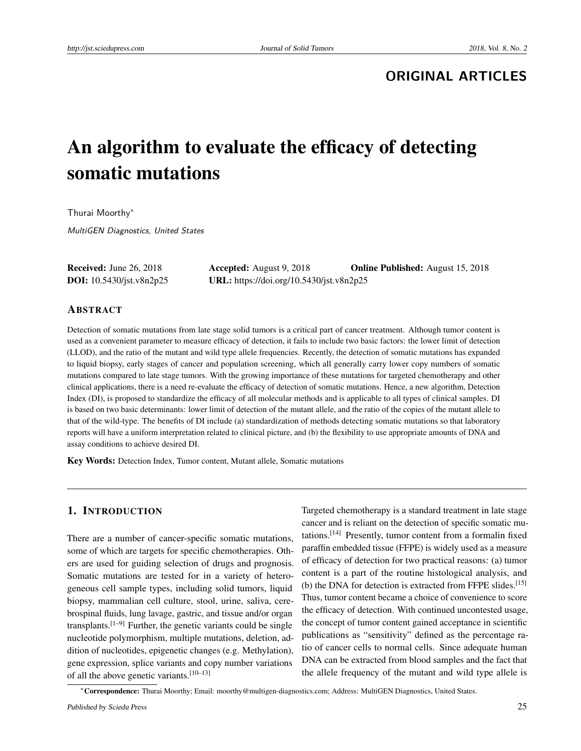# **ORIGINAL ARTICLES**

# An algorithm to evaluate the efficacy of detecting somatic mutations

Thurai Moorthy<sup>∗</sup>

MultiGEN Diagnostics, United States

Received: June 26, 2018 Accepted: August 9, 2018 Online Published: August 15, 2018 DOI: 10.5430/jst.v8n2p25 URL: https://doi.org/10.5430/jst.v8n2p25

#### ABSTRACT

Detection of somatic mutations from late stage solid tumors is a critical part of cancer treatment. Although tumor content is used as a convenient parameter to measure efficacy of detection, it fails to include two basic factors: the lower limit of detection (LLOD), and the ratio of the mutant and wild type allele frequencies. Recently, the detection of somatic mutations has expanded to liquid biopsy, early stages of cancer and population screening, which all generally carry lower copy numbers of somatic mutations compared to late stage tumors. With the growing importance of these mutations for targeted chemotherapy and other clinical applications, there is a need re-evaluate the efficacy of detection of somatic mutations. Hence, a new algorithm, Detection Index (DI), is proposed to standardize the efficacy of all molecular methods and is applicable to all types of clinical samples. DI is based on two basic determinants: lower limit of detection of the mutant allele, and the ratio of the copies of the mutant allele to that of the wild-type. The benefits of DI include (a) standardization of methods detecting somatic mutations so that laboratory reports will have a uniform interpretation related to clinical picture, and (b) the flexibility to use appropriate amounts of DNA and assay conditions to achieve desired DI.

Key Words: Detection Index, Tumor content, Mutant allele, Somatic mutations

## 1. INTRODUCTION

There are a number of cancer-specific somatic mutations, some of which are targets for specific chemotherapies. Others are used for guiding selection of drugs and prognosis. Somatic mutations are tested for in a variety of heterogeneous cell sample types, including solid tumors, liquid biopsy, mammalian cell culture, stool, urine, saliva, cerebrospinal fluids, lung lavage, gastric, and tissue and/or organ transplants.<sup>[\[1–](#page-5-0)[9\]](#page-5-1)</sup> Further, the genetic variants could be single nucleotide polymorphism, multiple mutations, deletion, addition of nucleotides, epigenetic changes (e.g. Methylation), gene expression, splice variants and copy number variations of all the above genetic variants.[\[10–](#page-5-2)[13\]](#page-5-3)

Targeted chemotherapy is a standard treatment in late stage cancer and is reliant on the detection of specific somatic mutations.[\[14\]](#page-5-4) Presently, tumor content from a formalin fixed paraffin embedded tissue (FFPE) is widely used as a measure of efficacy of detection for two practical reasons: (a) tumor content is a part of the routine histological analysis, and (b) the DNA for detection is extracted from FFPE slides.<sup>[\[15\]](#page-5-5)</sup> Thus, tumor content became a choice of convenience to score the efficacy of detection. With continued uncontested usage, the concept of tumor content gained acceptance in scientific publications as "sensitivity" defined as the percentage ratio of cancer cells to normal cells. Since adequate human DNA can be extracted from blood samples and the fact that the allele frequency of the mutant and wild type allele is

<sup>∗</sup>Correspondence: Thurai Moorthy; Email: moorthy@multigen-diagnostics.com; Address: MultiGEN Diagnostics, United States.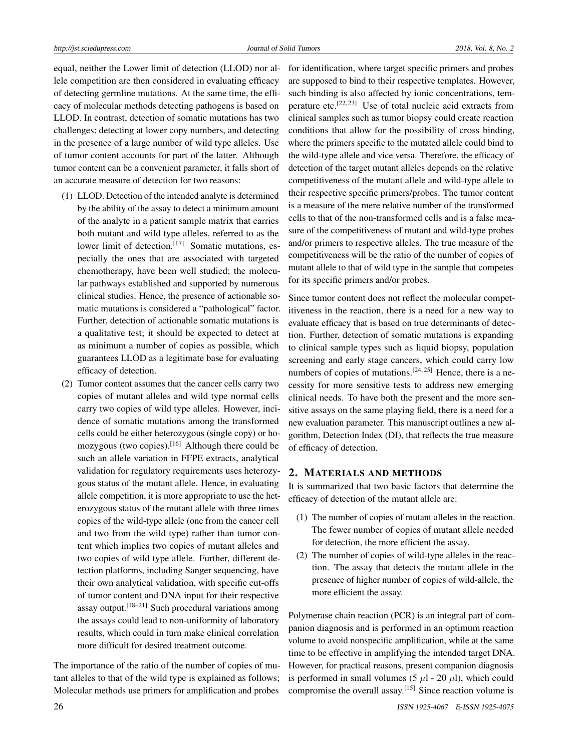equal, neither the Lower limit of detection (LLOD) nor allele competition are then considered in evaluating efficacy of detecting germline mutations. At the same time, the efficacy of molecular methods detecting pathogens is based on LLOD. In contrast, detection of somatic mutations has two challenges; detecting at lower copy numbers, and detecting in the presence of a large number of wild type alleles. Use of tumor content accounts for part of the latter. Although tumor content can be a convenient parameter, it falls short of an accurate measure of detection for two reasons:

- (1) LLOD. Detection of the intended analyte is determined by the ability of the assay to detect a minimum amount of the analyte in a patient sample matrix that carries both mutant and wild type alleles, referred to as the lower limit of detection.<sup>[\[17\]](#page-5-6)</sup> Somatic mutations, especially the ones that are associated with targeted chemotherapy, have been well studied; the molecular pathways established and supported by numerous clinical studies. Hence, the presence of actionable somatic mutations is considered a "pathological" factor. Further, detection of actionable somatic mutations is a qualitative test; it should be expected to detect at as minimum a number of copies as possible, which guarantees LLOD as a legitimate base for evaluating efficacy of detection.
- (2) Tumor content assumes that the cancer cells carry two copies of mutant alleles and wild type normal cells carry two copies of wild type alleles. However, incidence of somatic mutations among the transformed cells could be either heterozygous (single copy) or ho-mozygous (two copies).<sup>[\[16\]](#page-5-7)</sup> Although there could be such an allele variation in FFPE extracts, analytical validation for regulatory requirements uses heterozygous status of the mutant allele. Hence, in evaluating allele competition, it is more appropriate to use the heterozygous status of the mutant allele with three times copies of the wild-type allele (one from the cancer cell and two from the wild type) rather than tumor content which implies two copies of mutant alleles and two copies of wild type allele. Further, different detection platforms, including Sanger sequencing, have their own analytical validation, with specific cut-offs of tumor content and DNA input for their respective assay output.<sup>[\[18–](#page-5-8)[21\]](#page-6-0)</sup> Such procedural variations among the assays could lead to non-uniformity of laboratory results, which could in turn make clinical correlation more difficult for desired treatment outcome.

The importance of the ratio of the number of copies of mutant alleles to that of the wild type is explained as follows; Molecular methods use primers for amplification and probes

for identification, where target specific primers and probes are supposed to bind to their respective templates. However, such binding is also affected by ionic concentrations, tem-perature etc.<sup>[\[22,](#page-6-1) [23\]](#page-6-2)</sup> Use of total nucleic acid extracts from clinical samples such as tumor biopsy could create reaction conditions that allow for the possibility of cross binding, where the primers specific to the mutated allele could bind to the wild-type allele and vice versa. Therefore, the efficacy of detection of the target mutant alleles depends on the relative competitiveness of the mutant allele and wild-type allele to their respective specific primers/probes. The tumor content is a measure of the mere relative number of the transformed cells to that of the non-transformed cells and is a false measure of the competitiveness of mutant and wild-type probes and/or primers to respective alleles. The true measure of the competitiveness will be the ratio of the number of copies of mutant allele to that of wild type in the sample that competes for its specific primers and/or probes.

Since tumor content does not reflect the molecular competitiveness in the reaction, there is a need for a new way to evaluate efficacy that is based on true determinants of detection. Further, detection of somatic mutations is expanding to clinical sample types such as liquid biopsy, population screening and early stage cancers, which could carry low numbers of copies of mutations.<sup>[\[24,](#page-6-3) [25\]](#page-6-4)</sup> Hence, there is a necessity for more sensitive tests to address new emerging clinical needs. To have both the present and the more sensitive assays on the same playing field, there is a need for a new evaluation parameter. This manuscript outlines a new algorithm, Detection Index (DI), that reflects the true measure of efficacy of detection.

#### 2. MATERIALS AND METHODS

It is summarized that two basic factors that determine the efficacy of detection of the mutant allele are:

- (1) The number of copies of mutant alleles in the reaction. The fewer number of copies of mutant allele needed for detection, the more efficient the assay.
- (2) The number of copies of wild-type alleles in the reaction. The assay that detects the mutant allele in the presence of higher number of copies of wild-allele, the more efficient the assay.

Polymerase chain reaction (PCR) is an integral part of companion diagnosis and is performed in an optimum reaction volume to avoid nonspecific amplification, while at the same time to be effective in amplifying the intended target DNA. However, for practical reasons, present companion diagnosis is performed in small volumes (5  $\mu$ l - 20  $\mu$ l), which could compromise the overall assay.[\[15\]](#page-5-5) Since reaction volume is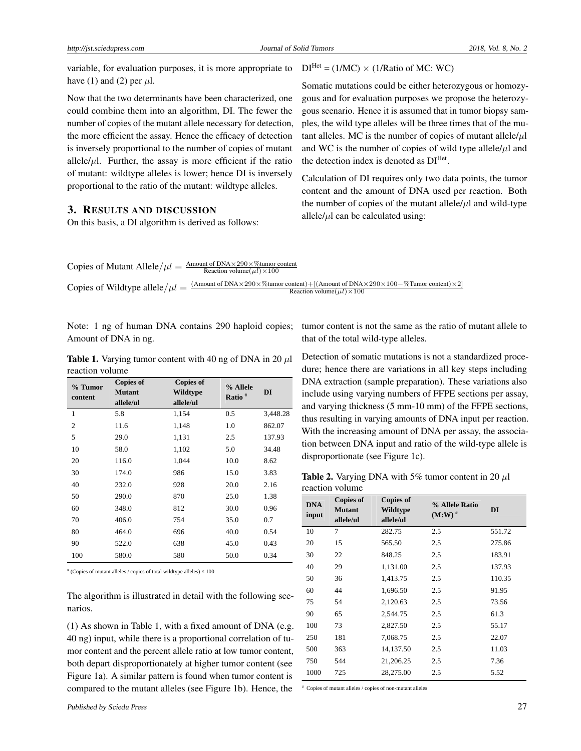variable, for evaluation purposes, it is more appropriate to have (1) and (2) per  $\mu$ l.

Now that the two determinants have been characterized, one could combine them into an algorithm, DI. The fewer the number of copies of the mutant allele necessary for detection, the more efficient the assay. Hence the efficacy of detection is inversely proportional to the number of copies of mutant allele/ $\mu$ l. Further, the assay is more efficient if the ratio of mutant: wildtype alleles is lower; hence DI is inversely proportional to the ratio of the mutant: wildtype alleles.

### 3. RESULTS AND DISCUSSION

On this basis, a DI algorithm is derived as follows:

 $DI<sup>Het</sup> = (1/MC) \times (1/Ratio of MC: WC)$ 

Somatic mutations could be either heterozygous or homozygous and for evaluation purposes we propose the heterozygous scenario. Hence it is assumed that in tumor biopsy samples, the wild type alleles will be three times that of the mutant alleles. MC is the number of copies of mutant allele/*µ*l and WC is the number of copies of wild type allele/*µ*l and the detection index is denoted as  $DI<sup>Het</sup>$ .

Calculation of DI requires only two data points, the tumor content and the amount of DNA used per reaction. Both the number of copies of the mutant allele $/\mu$ l and wild-type allele/ $\mu$ l can be calculated using:

Copies of Mutant Allele/ $\mu l = \frac{\text{Amount of DNA} \times 290 \times \% \text{tumor content}}{\text{Reaction volume}(\mu l) \times 100}$ Copies of Wildtype allele/ $\mu l = \frac{(Amount of DNA \times 290 \times \%tumor content) + [(Amount of DNA \times 290 \times 100 - \%Tumor content) \times 2]}{Reaction volume (u l) \times 100}$ Reaction volume( $\mu$ *l*)×100

Note: 1 ng of human DNA contains 290 haploid copies; Amount of DNA in ng.

**Table 1.** Varying tumor content with 40 ng of DNA in 20  $\mu$ l reaction volume

| % Tumor<br>content | <b>Copies of</b><br><b>Mutant</b><br>allele/ul | <b>Copies of</b><br>Wildtype<br>allele/ul | % Allele<br>Ratio <sup>#</sup> | DI       |
|--------------------|------------------------------------------------|-------------------------------------------|--------------------------------|----------|
| 1                  | 5.8                                            | 1,154                                     | 0.5                            | 3,448.28 |
| $\overline{2}$     | 11.6                                           | 1,148                                     | 1.0                            | 862.07   |
| 5                  | 29.0                                           | 1,131                                     | 2.5                            | 137.93   |
| 10                 | 58.0                                           | 1,102                                     | 5.0                            | 34.48    |
| 20                 | 116.0                                          | 1,044                                     | 10.0                           | 8.62     |
| 30                 | 174.0                                          | 986                                       | 15.0                           | 3.83     |
| 40                 | 232.0                                          | 928                                       | 20.0                           | 2.16     |
| 50                 | 290.0                                          | 870                                       | 25.0                           | 1.38     |
| 60                 | 348.0                                          | 812                                       | 30.0                           | 0.96     |
| 70                 | 406.0                                          | 754                                       | 35.0                           | 0.7      |
| 80                 | 464.0                                          | 696                                       | 40.0                           | 0.54     |
| 90                 | 522.0                                          | 638                                       | 45.0                           | 0.43     |
| 100                | 580.0                                          | 580                                       | 50.0                           | 0.34     |
|                    |                                                |                                           |                                |          |

# (Copies of mutant alleles / copies of total wildtype alleles) × 100

The algorithm is illustrated in detail with the following scenarios.

(1) As shown in Table 1, with a fixed amount of DNA (e.g. 40 ng) input, while there is a proportional correlation of tumor content and the percent allele ratio at low tumor content, both depart disproportionately at higher tumor content (see Figure 1a). A similar pattern is found when tumor content is compared to the mutant alleles (see Figure 1b). Hence, the

tumor content is not the same as the ratio of mutant allele to that of the total wild-type alleles.

Detection of somatic mutations is not a standardized procedure; hence there are variations in all key steps including DNA extraction (sample preparation). These variations also include using varying numbers of FFPE sections per assay, and varying thickness (5 mm-10 mm) of the FFPE sections, thus resulting in varying amounts of DNA input per reaction. With the increasing amount of DNA per assay, the association between DNA input and ratio of the wild-type allele is disproportionate (see Figure 1c).

Table 2. Varying DNA with 5% tumor content in 20 *µ*l reaction volume

| <b>DNA</b><br>input | <b>Copies of</b><br><b>Mutant</b><br>allele/ul | <b>Copies of</b><br>Wildtype<br>allele/ul | % Allele Ratio<br>$(M:W)$ <sup>#</sup> | DI     |
|---------------------|------------------------------------------------|-------------------------------------------|----------------------------------------|--------|
| 10                  | 7                                              | 282.75                                    | 2.5                                    | 551.72 |
| 20                  | 15                                             | 565.50                                    | 2.5                                    | 275.86 |
| 30                  | 22                                             | 848.25                                    | 2.5                                    | 183.91 |
| 40                  | 29                                             | 1,131.00                                  | 2.5                                    | 137.93 |
| 50                  | 36                                             | 1,413.75                                  | 2.5                                    | 110.35 |
| 60                  | 44                                             | 1,696.50                                  | 2.5                                    | 91.95  |
| 75                  | 54                                             | 2,120.63                                  | 2.5                                    | 73.56  |
| 90                  | 65                                             | 2,544.75                                  | 2.5                                    | 61.3   |
| 100                 | 73                                             | 2,827.50                                  | 2.5                                    | 55.17  |
| 250                 | 181                                            | 7,068.75                                  | 2.5                                    | 22.07  |
| 500                 | 363                                            | 14,137.50                                 | 2.5                                    | 11.03  |
| 750                 | 544                                            | 21,206.25                                 | 2.5                                    | 7.36   |
| 1000                | 725                                            | 28,275.00                                 | 2.5                                    | 5.52   |

# Copies of mutant alleles / copies of non-mutant alleles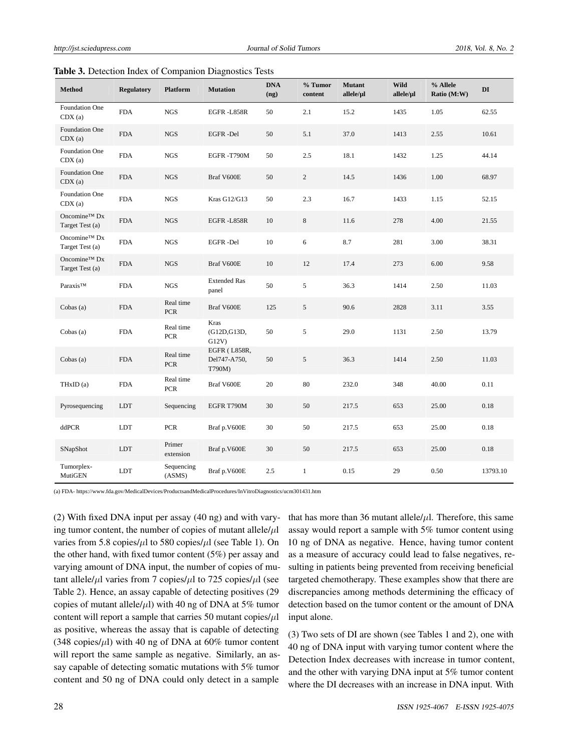| <b>Method</b>                   | <b>Regulatory</b> | <b>Platform</b>         | <b>Mutation</b>                        | <b>DNA</b><br>(ng) | % Tumor<br>content | <b>Mutant</b><br>allele/µl | <b>Wild</b><br>allele/µl | % Allele<br>Ratio (M:W) | DI       |
|---------------------------------|-------------------|-------------------------|----------------------------------------|--------------------|--------------------|----------------------------|--------------------------|-------------------------|----------|
| <b>Foundation One</b><br>CDX(a) | <b>FDA</b>        | <b>NGS</b>              | EGFR-L858R                             | 50                 | 2.1                | 15.2                       | 1435                     | 1.05                    | 62.55    |
| Foundation One<br>CDX(a)        | <b>FDA</b>        | <b>NGS</b>              | <b>EGFR-Del</b>                        | 50                 | 5.1                | 37.0                       | 1413                     | 2.55                    | 10.61    |
| Foundation One<br>CDX(a)        | <b>FDA</b>        | $_{\rm NGS}$            | EGFR-T790M                             | 50                 | 2.5                | 18.1                       | 1432                     | 1.25                    | 44.14    |
| Foundation One<br>CDX(a)        | <b>FDA</b>        | NGS                     | Braf V600E                             | 50                 | $\overline{c}$     | 14.5                       | 1436                     | 1.00                    | 68.97    |
| Foundation One<br>CDX(a)        | <b>FDA</b>        | NGS                     | Kras G12/G13                           | 50                 | 2.3                | 16.7                       | 1433                     | 1.15                    | 52.15    |
| Oncomine™ Dx<br>Target Test (a) | <b>FDA</b>        | $_{\rm NGS}$            | EGFR-L858R                             | 10                 | $\,8\,$            | 11.6                       | 278                      | 4.00                    | 21.55    |
| Oncomine™ Dx<br>Target Test (a) | <b>FDA</b>        | NGS                     | <b>EGFR-Del</b>                        | 10                 | 6                  | 8.7                        | 281                      | 3.00                    | 38.31    |
| Oncomine™ Dx<br>Target Test (a) | <b>FDA</b>        | <b>NGS</b>              | Braf V600E                             | 10                 | 12                 | 17.4                       | 273                      | 6.00                    | 9.58     |
| Paraxis™                        | <b>FDA</b>        | <b>NGS</b>              | <b>Extended Ras</b><br>panel           | 50                 | 5                  | 36.3                       | 1414                     | 2.50                    | 11.03    |
| Cobas $(a)$                     | <b>FDA</b>        | Real time<br><b>PCR</b> | Braf V600E                             | 125                | 5                  | 90.6                       | 2828                     | 3.11                    | 3.55     |
| Cobas $(a)$                     | <b>FDA</b>        | Real time<br><b>PCR</b> | Kras<br>(G12D, G13D,<br>G12V           | 50                 | 5                  | 29.0                       | 1131                     | 2.50                    | 13.79    |
| Cobas (a)                       | <b>FDA</b>        | Real time<br><b>PCR</b> | EGFR (L858R,<br>Del747-A750,<br>T790M) | 50                 | 5                  | 36.3                       | 1414                     | 2.50                    | 11.03    |
| THxID (a)                       | <b>FDA</b>        | Real time<br><b>PCR</b> | Braf V600E                             | 20                 | 80                 | 232.0                      | 348                      | 40.00                   | 0.11     |
| Pyrosequencing                  | <b>LDT</b>        | Sequencing              | EGFR T790M                             | 30                 | 50                 | 217.5                      | 653                      | 25.00                   | 0.18     |
| ddPCR                           | LDT               | <b>PCR</b>              | Braf p.V600E                           | 30                 | 50                 | 217.5                      | 653                      | 25.00                   | 0.18     |
| SNapShot                        | <b>LDT</b>        | Primer<br>extension     | Braf p.V600E                           | 30                 | 50                 | 217.5                      | 653                      | 25.00                   | 0.18     |
| Tumorplex-<br>MutiGEN           | LDT               | Sequencing<br>(ASMS)    | Braf p.V600E                           | 2.5                | $\mathbf{1}$       | 0.15                       | 29                       | 0.50                    | 13793.10 |

Table 3. Detection Index of Companion Diagnostics Tests

(a) FDA- https://www.fda.gov/MedicalDevices/ProductsandMedicalProcedures/InVitroDiagnostics/ucm301431.htm

(2) With fixed DNA input per assay (40 ng) and with varying tumor content, the number of copies of mutant allele/*µ*l varies from 5.8 copies/*µ*l to 580 copies/*µ*l (see Table 1). On the other hand, with fixed tumor content (5%) per assay and varying amount of DNA input, the number of copies of mutant allele/ $\mu$ l varies from 7 copies/ $\mu$ l to 725 copies/ $\mu$ l (see Table 2). Hence, an assay capable of detecting positives (29 copies of mutant allele/ $\mu$ l) with 40 ng of DNA at 5% tumor content will report a sample that carries 50 mutant copies/*µ*l as positive, whereas the assay that is capable of detecting (348 copies/ $\mu$ l) with 40 ng of DNA at 60% tumor content will report the same sample as negative. Similarly, an assay capable of detecting somatic mutations with 5% tumor content and 50 ng of DNA could only detect in a sample

that has more than 36 mutant allele $/\mu$ . Therefore, this same assay would report a sample with 5% tumor content using 10 ng of DNA as negative. Hence, having tumor content as a measure of accuracy could lead to false negatives, resulting in patients being prevented from receiving beneficial targeted chemotherapy. These examples show that there are discrepancies among methods determining the efficacy of detection based on the tumor content or the amount of DNA input alone.

(3) Two sets of DI are shown (see Tables 1 and 2), one with 40 ng of DNA input with varying tumor content where the Detection Index decreases with increase in tumor content, and the other with varying DNA input at 5% tumor content where the DI decreases with an increase in DNA input. With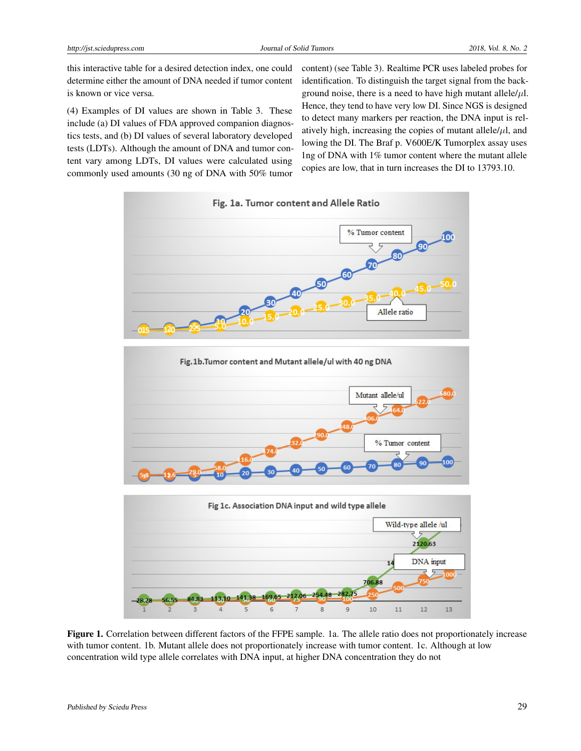this interactive table for a desired detection index, one could determine either the amount of DNA needed if tumor content is known or vice versa.

(4) Examples of DI values are shown in Table 3. These include (a) DI values of FDA approved companion diagnostics tests, and (b) DI values of several laboratory developed tests (LDTs). Although the amount of DNA and tumor content vary among LDTs, DI values were calculated using commonly used amounts (30 ng of DNA with 50% tumor

content) (see Table 3). Realtime PCR uses labeled probes for identification. To distinguish the target signal from the background noise, there is a need to have high mutant allele $/\mu$ l. Hence, they tend to have very low DI. Since NGS is designed to detect many markers per reaction, the DNA input is relatively high, increasing the copies of mutant allele $/\mu$ l, and lowing the DI. The Braf p. V600E/K Tumorplex assay uses 1ng of DNA with 1% tumor content where the mutant allele copies are low, that in turn increases the DI to 13793.10.



Figure 1. Correlation between different factors of the FFPE sample. 1a. The allele ratio does not proportionately increase with tumor content. 1b. Mutant allele does not proportionately increase with tumor content. 1c. Although at low concentration wild type allele correlates with DNA input, at higher DNA concentration they do not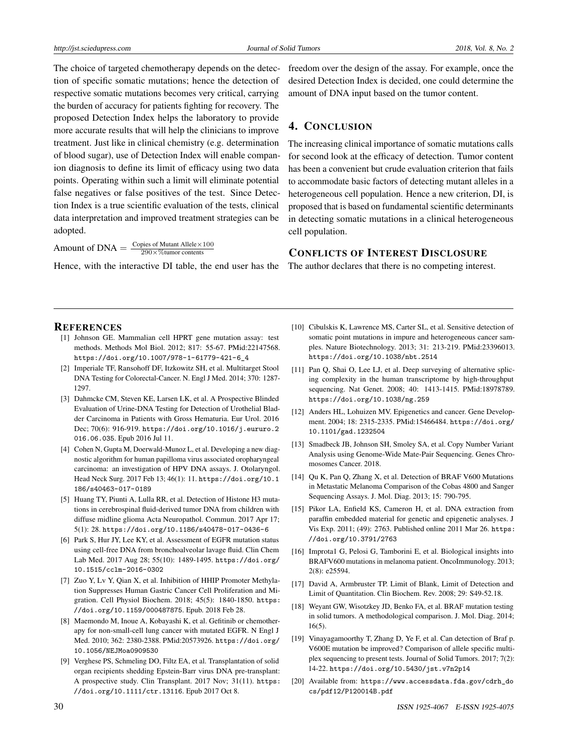The choice of targeted chemotherapy depends on the detection of specific somatic mutations; hence the detection of respective somatic mutations becomes very critical, carrying the burden of accuracy for patients fighting for recovery. The proposed Detection Index helps the laboratory to provide more accurate results that will help the clinicians to improve treatment. Just like in clinical chemistry (e.g. determination of blood sugar), use of Detection Index will enable companion diagnosis to define its limit of efficacy using two data points. Operating within such a limit will eliminate potential false negatives or false positives of the test. Since Detection Index is a true scientific evaluation of the tests, clinical data interpretation and improved treatment strategies can be adopted.

Amount of DNA  $=\frac{\text{Copies of Mutant Allele} \times 100}{290 \times \% \text{turnor contents}}$ 290×%tumor contents

Hence, with the interactive DI table, the end user has the The author declares that there is no competing interest.

freedom over the design of the assay. For example, once the desired Detection Index is decided, one could determine the amount of DNA input based on the tumor content.

### 4. CONCLUSION

The increasing clinical importance of somatic mutations calls for second look at the efficacy of detection. Tumor content has been a convenient but crude evaluation criterion that fails to accommodate basic factors of detecting mutant alleles in a heterogeneous cell population. Hence a new criterion, DI, is proposed that is based on fundamental scientific determinants in detecting somatic mutations in a clinical heterogeneous cell population.

#### CONFLICTS OF INTEREST DISCLOSURE

#### **REFERENCES**

- <span id="page-5-0"></span>[1] Johnson GE. Mammalian cell HPRT gene mutation assay: test methods. Methods Mol Biol. 2012; 817: 55-67. PMid:22147568. [https://doi.org/10.1007/978-1-61779-421-6\\_4](https://doi.org/10.1007/978-1-61779-421-6_4)
- [2] Imperiale TF, Ransohoff DF, Itzkowitz SH, et al. Multitarget Stool DNA Testing for Colorectal-Cancer. N. Engl J Med. 2014; 370: 1287- 1297.
- [3] Dahmcke CM, Steven KE, Larsen LK, et al. A Prospective Blinded Evaluation of Urine-DNA Testing for Detection of Urothelial Bladder Carcinoma in Patients with Gross Hematuria. Eur Urol. 2016 Dec; 70(6): 916-919. [https://doi.org/10.1016/j.eururo.2](https://doi.org/10.1016/j.eururo.2016.06.035) [016.06.035](https://doi.org/10.1016/j.eururo.2016.06.035). Epub 2016 Jul 11.
- [4] Cohen N, Gupta M, Doerwald-Munoz L, et al. Developing a new diagnostic algorithm for human papilloma virus associated oropharyngeal carcinoma: an investigation of HPV DNA assays. J. Otolaryngol. Head Neck Surg. 2017 Feb 13; 46(1): 11. [https://doi.org/10.1](https://doi.org/10.1186/s40463-017-0189) [186/s40463-017-0189](https://doi.org/10.1186/s40463-017-0189)
- [5] Huang TY, Piunti A, Lulla RR, et al. Detection of Histone H3 mutations in cerebrospinal fluid-derived tumor DNA from children with diffuse midline glioma Acta Neuropathol. Commun. 2017 Apr 17; 5(1): 28. <https://doi.org/10.1186/s40478-017-0436-6>
- [6] Park S, Hur JY, Lee KY, et al. Assessment of EGFR mutation status using cell-free DNA from bronchoalveolar lavage fluid. Clin Chem Lab Med. 2017 Aug 28; 55(10): 1489-1495. [https://doi.org/](https://doi.org/10.1515/cclm-2016-0302) [10.1515/cclm-2016-0302](https://doi.org/10.1515/cclm-2016-0302)
- [7] Zuo Y, Lv Y, Qian X, et al. Inhibition of HHIP Promoter Methylation Suppresses Human Gastric Cancer Cell Proliferation and Migration. Cell Physiol Biochem. 2018; 45(5): 1840-1850. [https:](https://doi.org/10.1159/000487875) [//doi.org/10.1159/000487875](https://doi.org/10.1159/000487875). Epub. 2018 Feb 28.
- [8] Maemondo M, Inoue A, Kobayashi K, et al. Gefitinib or chemotherapy for non-small-cell lung cancer with mutated EGFR. N Engl J Med. 2010; 362: 2380-2388. PMid:20573926. [https://doi.org/](https://doi.org/10.1056/NEJMoa0909530) [10.1056/NEJMoa0909530](https://doi.org/10.1056/NEJMoa0909530)
- <span id="page-5-1"></span>[9] Verghese PS, Schmeling DO, Filtz EA, et al. Transplantation of solid organ recipients shedding Epstein-Barr virus DNA pre-transplant: A prospective study. Clin Transplant. 2017 Nov; 31(11). [https:](https://doi.org/10.1111/ctr.13116) [//doi.org/10.1111/ctr.13116](https://doi.org/10.1111/ctr.13116). Epub 2017 Oct 8.
- <span id="page-5-2"></span>[10] Cibulskis K, Lawrence MS, Carter SL, et al. Sensitive detection of somatic point mutations in impure and heterogeneous cancer samples. Nature Biotechnology. 2013; 31: 213-219. PMid:23396013. <https://doi.org/10.1038/nbt.2514>
- [11] Pan Q, Shai O, Lee LJ, et al. Deep surveying of alternative splicing complexity in the human transcriptome by high-throughput sequencing. Nat Genet. 2008; 40: 1413-1415. PMid:18978789. <https://doi.org/10.1038/ng.259>
- [12] Anders HL, Lohuizen MV. Epigenetics and cancer. Gene Development. 2004; 18: 2315-2335. PMid:15466484. [https://doi.org/](https://doi.org/10.1101/gad.1232504) [10.1101/gad.1232504](https://doi.org/10.1101/gad.1232504)
- <span id="page-5-3"></span>[13] Smadbeck JB, Johnson SH, Smoley SA, et al. Copy Number Variant Analysis using Genome-Wide Mate-Pair Sequencing. Genes Chromosomes Cancer. 2018.
- <span id="page-5-4"></span>[14] Qu K, Pan Q, Zhang X, et al. Detection of BRAF V600 Mutations in Metastatic Melanoma Comparison of the Cobas 4800 and Sanger Sequencing Assays. J. Mol. Diag. 2013; 15: 790-795.
- <span id="page-5-5"></span>[15] Pikor LA, Enfield KS, Cameron H, et al. DNA extraction from paraffin embedded material for genetic and epigenetic analyses. J Vis Exp. 2011; (49): 2763. Published online 2011 Mar 26. [https:](https://doi.org/10.3791/2763) [//doi.org/10.3791/2763](https://doi.org/10.3791/2763)
- <span id="page-5-7"></span>[16] Improta1 G, Pelosi G, Tamborini E, et al. Biological insights into BRAFV600 mutations in melanoma patient. OncoImmunology. 2013; 2(8): e25594.
- <span id="page-5-6"></span>[17] David A, Armbruster TP. Limit of Blank, Limit of Detection and Limit of Quantitation. Clin Biochem. Rev. 2008; 29: S49-52.18.
- <span id="page-5-8"></span>[18] Weyant GW, Wisotzkey JD, Benko FA, et al. BRAF mutation testing in solid tumors. A methodological comparison. J. Mol. Diag. 2014; 16(5).
- [19] Vinayagamoorthy T, Zhang D, Ye F, et al. Can detection of Braf p. V600E mutation be improved? Comparison of allele specific multiplex sequencing to present tests. Journal of Solid Tumors. 2017; 7(2): 14-22. <https://doi.org/10.5430/jst.v7n2p14>
- [20] Available from: [https://www.accessdata.fda.gov/cdrh\\_do](https://www.accessdata.fda.gov/cdrh_docs/pdf12/P120014B.pdf) [cs/pdf12/P120014B.pdf](https://www.accessdata.fda.gov/cdrh_docs/pdf12/P120014B.pdf)